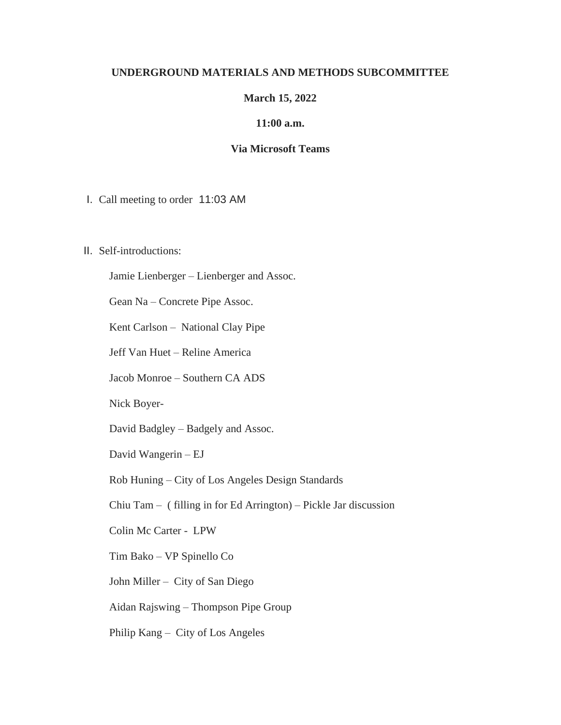## **UNDERGROUND MATERIALS AND METHODS SUBCOMMITTEE**

# **March 15, 2022**

#### **11:00 a.m.**

## **Via Microsoft Teams**

I. Call meeting to order 11:03 AM

## II. Self-introductions:

Jamie Lienberger – Lienberger and Assoc.

Gean Na – Concrete Pipe Assoc.

Kent Carlson – National Clay Pipe

Jeff Van Huet – Reline America

Jacob Monroe – Southern CA ADS

Nick Boyer-

David Badgley – Badgely and Assoc.

David Wangerin – EJ

Rob Huning – City of Los Angeles Design Standards

Chiu Tam – ( filling in for Ed Arrington) – Pickle Jar discussion

Colin Mc Carter - LPW

Tim Bako – VP Spinello Co

John Miller – City of San Diego

Aidan Rajswing – Thompson Pipe Group

Philip Kang – City of Los Angeles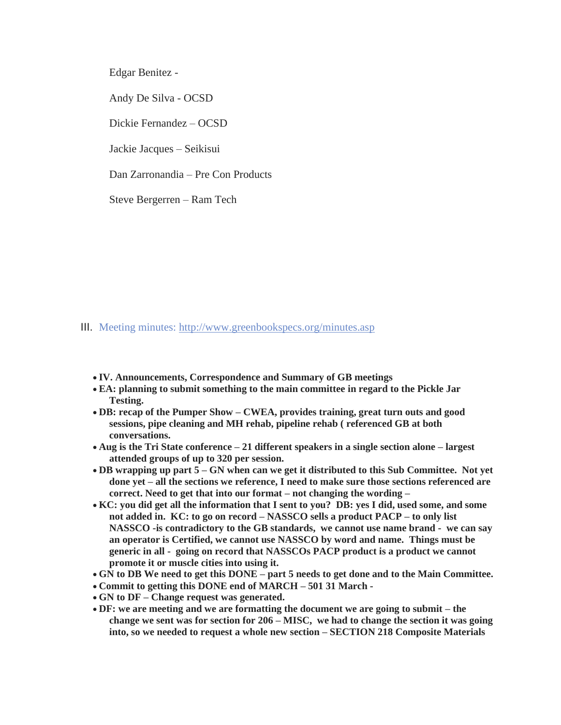Edgar Benitez -

Andy De Silva - OCSD

Dickie Fernandez – OCSD

Jackie Jacques – Seikisui

Dan Zarronandia – Pre Con Products

Steve Bergerren – Ram Tech

# III. Meeting minutes: <http://www.greenbookspecs.org/minutes.asp>

- **IV. Announcements, Correspondence and Summary of GB meetings**
- **EA: planning to submit something to the main committee in regard to the Pickle Jar Testing.**
- **DB: recap of the Pumper Show – CWEA, provides training, great turn outs and good sessions, pipe cleaning and MH rehab, pipeline rehab ( referenced GB at both conversations.**
- **Aug is the Tri State conference – 21 different speakers in a single section alone – largest attended groups of up to 320 per session.**
- **DB wrapping up part 5 – GN when can we get it distributed to this Sub Committee. Not yet done yet – all the sections we reference, I need to make sure those sections referenced are correct. Need to get that into our format – not changing the wording –**
- **KC: you did get all the information that I sent to you? DB: yes I did, used some, and some not added in. KC: to go on record – NASSCO sells a product PACP – to only list NASSCO -is contradictory to the GB standards, we cannot use name brand - we can say an operator is Certified, we cannot use NASSCO by word and name. Things must be generic in all - going on record that NASSCOs PACP product is a product we cannot promote it or muscle cities into using it.**
- **GN to DB We need to get this DONE – part 5 needs to get done and to the Main Committee.**
- **Commit to getting this DONE end of MARCH – 501 31 March -**
- **GN to DF – Change request was generated.**
- **DF: we are meeting and we are formatting the document we are going to submit – the change we sent was for section for 206 – MISC, we had to change the section it was going into, so we needed to request a whole new section – SECTION 218 Composite Materials**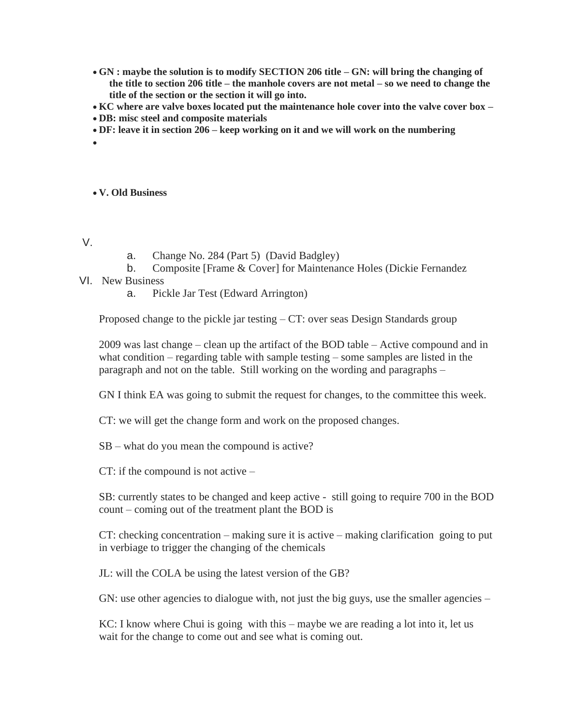- **GN : maybe the solution is to modify SECTION 206 title – GN: will bring the changing of the title to section 206 title – the manhole covers are not metal – so we need to change the title of the section or the section it will go into.**
- **KC where are valve boxes located put the maintenance hole cover into the valve cover box –**
- **DB: misc steel and composite materials**
- **DF: leave it in section 206 – keep working on it and we will work on the numbering**
- •

#### • **V. Old Business**

- V.
- a. Change No. 284 (Part 5) (David Badgley)
- b. Composite [Frame & Cover] for Maintenance Holes (Dickie Fernandez
- VI. New Business
	- a. Pickle Jar Test (Edward Arrington)

Proposed change to the pickle jar testing – CT: over seas Design Standards group

2009 was last change – clean up the artifact of the BOD table – Active compound and in what condition – regarding table with sample testing – some samples are listed in the paragraph and not on the table. Still working on the wording and paragraphs –

GN I think EA was going to submit the request for changes, to the committee this week.

CT: we will get the change form and work on the proposed changes.

SB – what do you mean the compound is active?

CT: if the compound is not active –

SB: currently states to be changed and keep active - still going to require 700 in the BOD count – coming out of the treatment plant the BOD is

CT: checking concentration – making sure it is active – making clarification going to put in verbiage to trigger the changing of the chemicals

JL: will the COLA be using the latest version of the GB?

GN: use other agencies to dialogue with, not just the big guys, use the smaller agencies –

KC: I know where Chui is going with this – maybe we are reading a lot into it, let us wait for the change to come out and see what is coming out.